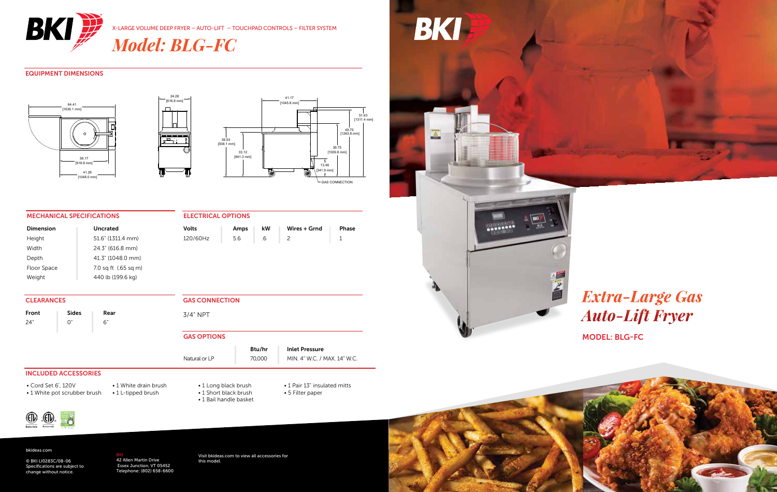

*Model: BLG-FC*

### EQUIPMENT DIMENSIONS







Volts | Amps | kW | Wires + Grnd | Phase 120/60Hz 5.6 .6 2 1

### MECHANICAL SPECIFICATIONS

| Dimension   | <b>Uncrated</b>      |
|-------------|----------------------|
| Height      | 51.6" (1311.4 mm)    |
| Width       | 24.3" (616.8 mm)     |
| Depth       | 41.3" (1048.0 mm)    |
| Floor Space | 7.0 sq ft (.65 sq m) |
| Weight      | 440 lb (199.6 kg)    |

**CLEARANCES** 

Front | Sides | Rear 24" 0" 6"

GAS CONNECTION

3/4" NPT

ELECTRICAL OPTIONS

### GAS OPTIONS

Natural or LP 70,000 MIN. 4" W.C. / MAX. 14" W.C.

INCLUDED ACCESSORIES

• Cord Set 6', 120V • 1 White pot scrubber brush • 1 White drain brush • 1 L-tipped brush

• 1 Long black brush • 1 Short black brush • 1 Bail handle basket

### • 1 Pair 13" insulated mitts • 5 Filter paper

Btu/hr | Inlet Pressure





bkideas.com

© BKI LI0283C/08-06 Specifications are subject to change without notice.

<mark>BKI</mark><br>42 Allen Martin Drive<br>Essex Junction, VT 05452<br>Telephone: (802) 658-6600

Visit bkideas.com to view all accessories for this model.